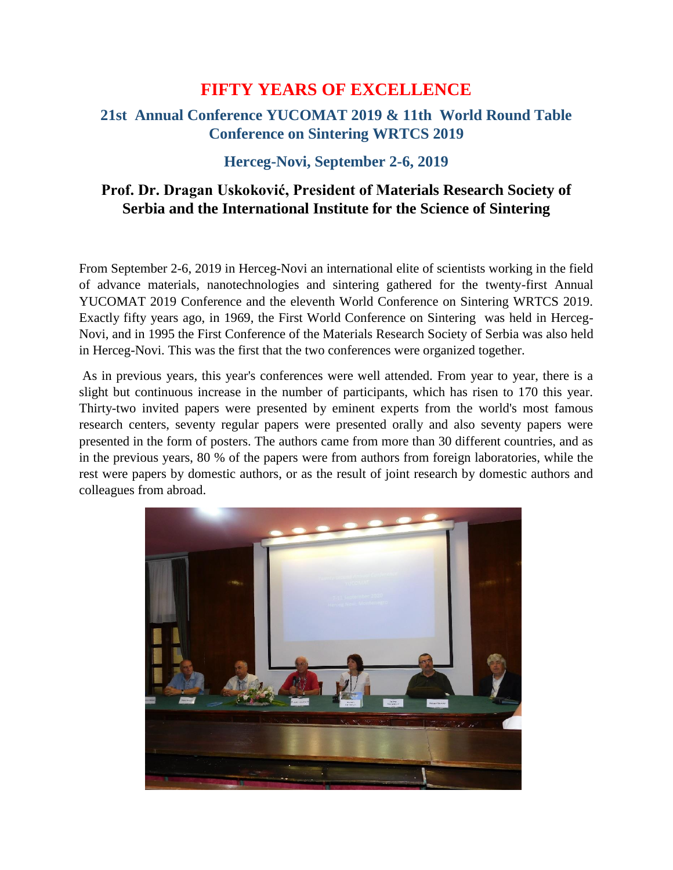# **FIFTY YEARS OF EXCELLENCE**

## **21st Annual Conference YUCOMAT 2019 & 11th World Round Table Conference on Sintering WRTCS 2019**

#### **Herceg-Novi, September 2-6, 2019**

### **Prof. Dr. Dragan Uskoković, President of Materials Research Society of Serbia and the International Institute for the Science of Sintering**

From September 2-6, 2019 in Herceg-Novi an international elite of scientists working in the field of advance materials, nanotechnologies and sintering gathered for the twenty-first Annual YUCOMAT 2019 Conference and the eleventh World Conference on Sintering WRTCS 2019. Exactly fifty years ago, in 1969, the First World Conference on Sintering was held in Herceg-Novi, and in 1995 the First Conference of the Materials Research Society of Serbia was also held in Herceg-Novi. This was the first that the two conferences were organized together.

As in previous years, this year's conferences were well attended. From year to year, there is a slight but continuous increase in the number of participants, which has risen to 170 this year. Thirty-two invited papers were presented by eminent experts from the world's most famous research centers, seventy regular papers were presented orally and also seventy papers were presented in the form of posters. The authors came from more than 30 different countries, and as in the previous years, 80 % of the papers were from authors from foreign laboratories, while the rest were papers by domestic authors, or as the result of joint research by domestic authors and colleagues from abroad.

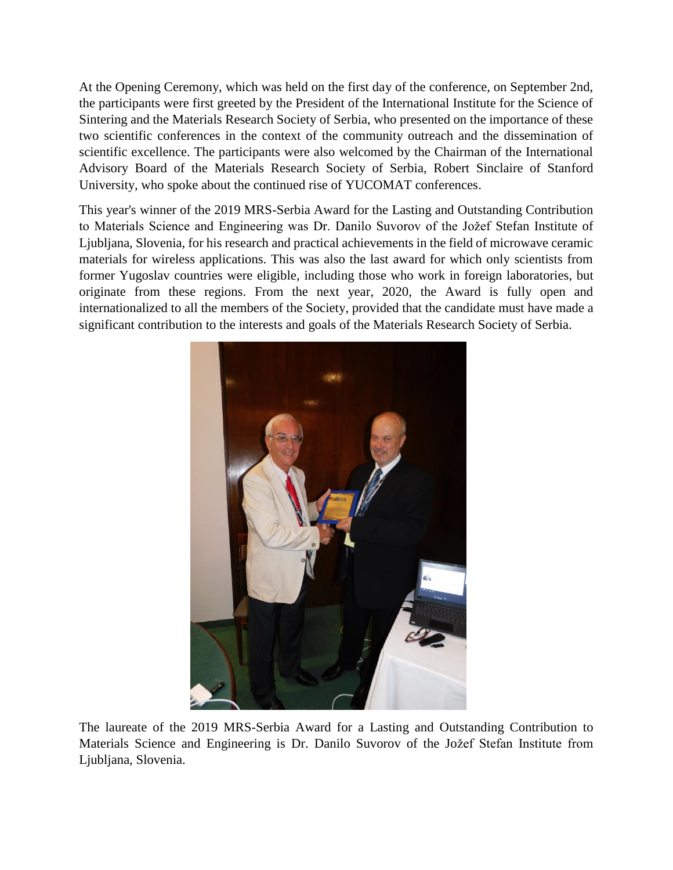At the Opening Ceremony, which was held on the first day of the conference, on September 2nd, the participants were first greeted by the President of the International Institute for the Science of Sintering and the Materials Research Society of Serbia, who presented on the importance of these two scientific conferences in the context of the community outreach and the dissemination of scientific excellence. The participants were also welcomed by the Chairman of the International Advisory Board of the Materials Research Society of Serbia, Robert Sinclaire of Stanford University, who spoke about the continued rise of YUCOMAT conferences.

This year's winner of the 2019 MRS-Serbia Award for the Lasting and Outstanding Contribution to Materials Science and Engineering was Dr. Danilo Suvorov of the Jožef Stefan Institute of Ljubljana, Slovenia, for his research and practical achievements in the field of microwave ceramic materials for wireless applications. This was also the last award for which only scientists from former Yugoslav countries were eligible, including those who work in foreign laboratories, but originate from these regions. From the next year, 2020, the Award is fully open and internationalized to all the members of the Society, provided that the candidate must have made a significant contribution to the interests and goals of the Materials Research Society of Serbia.



The laureate of the 2019 MRS-Serbia Award for a Lasting and Outstanding Contribution to Materials Science and Engineering is Dr. Danilo Suvorov of the Jožef Stefan Institute from Ljubljana, Slovenia.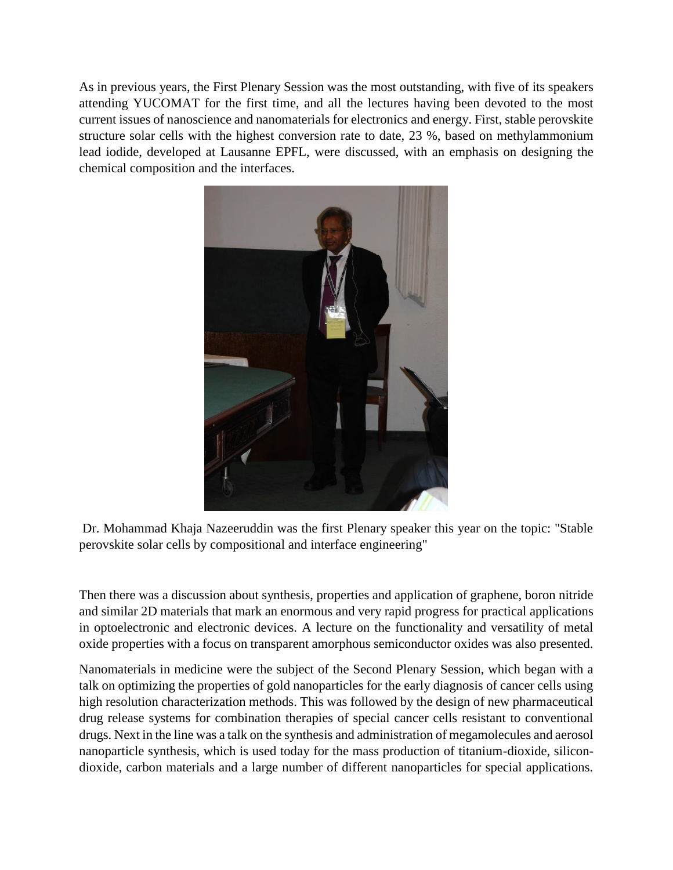As in previous years, the First Plenary Session was the most outstanding, with five of its speakers attending YUCOMAT for the first time, and all the lectures having been devoted to the most current issues of nanoscience and nanomaterials for electronics and energy. First, stable perovskite structure solar cells with the highest conversion rate to date, 23 %, based on methylammonium lead iodide, developed at Lausanne EPFL, were discussed, with an emphasis on designing the chemical composition and the interfaces.



Dr. Mohammad Khaja Nazeeruddin was the first Plenary speaker this year on the topic: "Stable perovskite solar cells by compositional and interface engineering"

Then there was a discussion about synthesis, properties and application of graphene, boron nitride and similar 2D materials that mark an enormous and very rapid progress for practical applications in optoelectronic and electronic devices. A lecture on the functionality and versatility of metal oxide properties with a focus on transparent amorphous semiconductor oxides was also presented.

Nanomaterials in medicine were the subject of the Second Plenary Session, which began with a talk on optimizing the properties of gold nanoparticles for the early diagnosis of cancer cells using high resolution characterization methods. This was followed by the design of new pharmaceutical drug release systems for combination therapies of special cancer cells resistant to conventional drugs. Next in the line was a talk on the synthesis and administration of megamolecules and aerosol nanoparticle synthesis, which is used today for the mass production of titanium-dioxide, silicondioxide, carbon materials and a large number of different nanoparticles for special applications.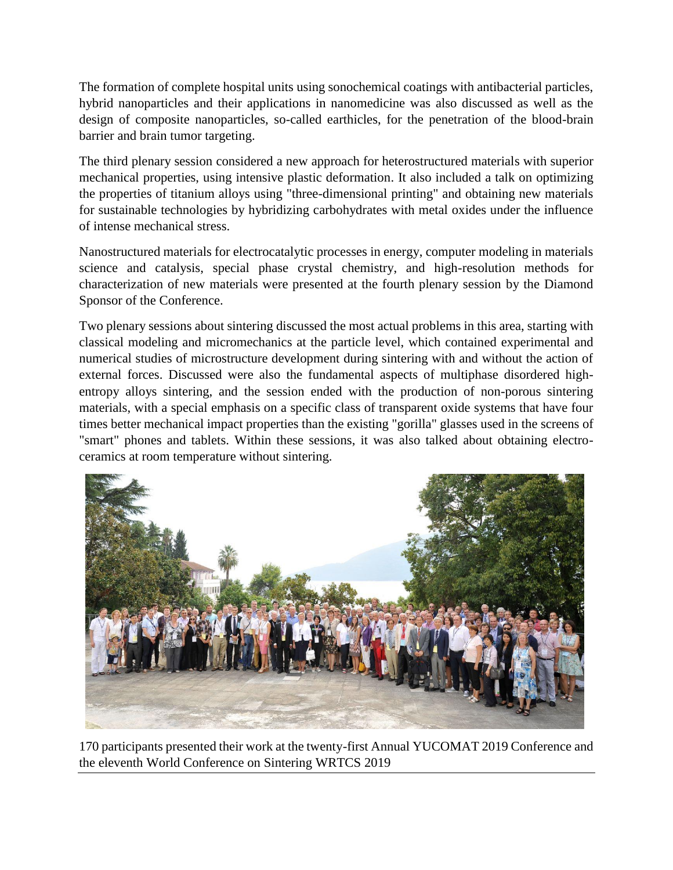The formation of complete hospital units using sonochemical coatings with antibacterial particles, hybrid nanoparticles and their applications in nanomedicine was also discussed as well as the design of composite nanoparticles, so-called earthicles, for the penetration of the blood-brain barrier and brain tumor targeting.

The third plenary session considered a new approach for heterostructured materials with superior mechanical properties, using intensive plastic deformation. It also included a talk on optimizing the properties of titanium alloys using "three-dimensional printing" and obtaining new materials for sustainable technologies by hybridizing carbohydrates with metal oxides under the influence of intense mechanical stress.

Nanostructured materials for electrocatalytic processes in energy, computer modeling in materials science and catalysis, special phase crystal chemistry, and high-resolution methods for characterization of new materials were presented at the fourth plenary session by the Diamond Sponsor of the Conference.

Two plenary sessions about sintering discussed the most actual problems in this area, starting with classical modeling and micromechanics at the particle level, which contained experimental and numerical studies of microstructure development during sintering with and without the action of external forces. Discussed were also the fundamental aspects of multiphase disordered highentropy alloys sintering, and the session ended with the production of non-porous sintering materials, with a special emphasis on a specific class of transparent oxide systems that have four times better mechanical impact properties than the existing "gorilla" glasses used in the screens of "smart" phones and tablets. Within these sessions, it was also talked about obtaining electroceramics at room temperature without sintering.



170 participants presented their work at the twenty-first Annual YUCOMAT 2019 Conference and the eleventh World Conference on Sintering WRTCS 2019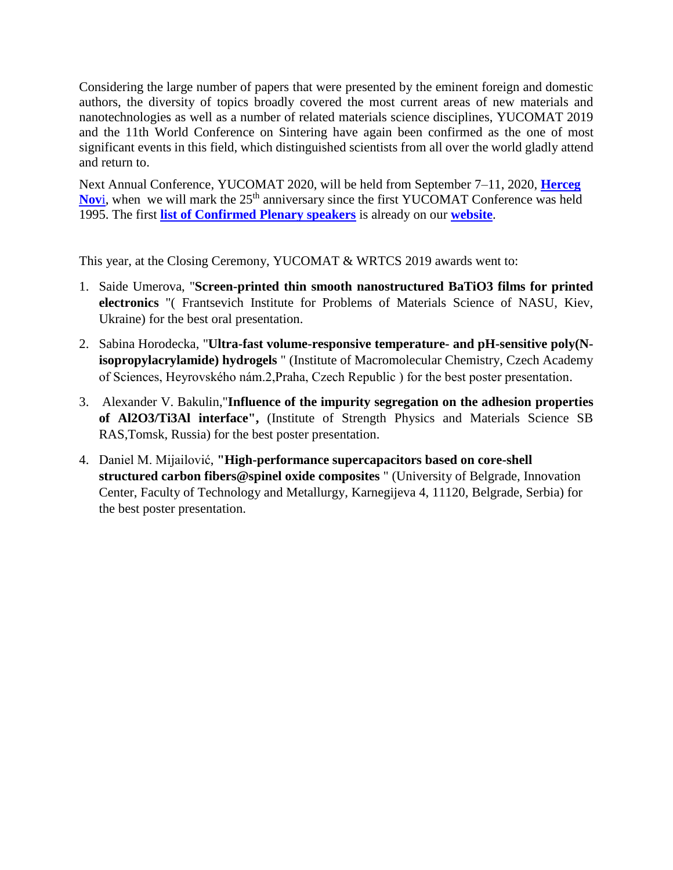Considering the large number of papers that were presented by the eminent foreign and domestic authors, the diversity of topics broadly covered the most current areas of new materials and nanotechnologies as well as a number of related materials science disciplines, YUCOMAT 2019 and the 11th World Conference on Sintering have again been confirmed as the one of most significant events in this field, which distinguished scientists from all over the world gladly attend and return to.

Next Annual Conference, YUCOMAT 2020, will be held from September 7–11, 2020, **[Herceg](https://www.youtube.com/watch?v=M4grYEhD4yQ&feature=youtu.be)**  [Nov](https://www.youtube.com/watch?v=M4grYEhD4yQ&feature=youtu.be)i, when we will mark the 25<sup>th</sup> anniversary since the first YUCOMAT Conference was held 1995. The first **list [of Confirmed Plenary speakers](https://www.mrs-serbia.org.rs/index.php/confirmed-plenary-speakers-2020)** is already on our **[website](https://www.mrs-serbia.org.rs/index.php/yucomat-home)**.

This year, at the Closing Ceremony, YUCOMAT & WRTCS 2019 awards went to:

- 1. Saide Umerova, "**Screen-printed thin smooth nanostructured BaTiO3 films for printed electronics** "( Frantsevich Institute for Problems of Materials Science of NASU, Kiev, Ukraine) for the best oral presentation.
- 2. Sabina Horodecka, "**Ultra-fast volume-responsive temperature- and pH-sensitive poly(Nisopropylacrylamide) hydrogels** " (Institute of Macromolecular Chemistry, Czech Academy of Sciences, Heyrovského nám.2,Praha, Czech Republic ) for the best poster presentation.
- 3. Alexander V. Bakulin,"**Influence of the impurity segregation on the adhesion properties of Al2O3/Ti3Al interface",** (Institute of Strength Physics and Materials Science SB RAS,Tomsk, Russia) for the best poster presentation.
- 4. Daniel M. Mijailović, **"High-performance supercapacitors based on core-shell structured carbon fibers@spinel oxide composites** " (University of Belgrade, Innovation Center, Faculty of Technology and Metallurgy, Karnegijeva 4, 11120, Belgrade, Serbia) for the best poster presentation.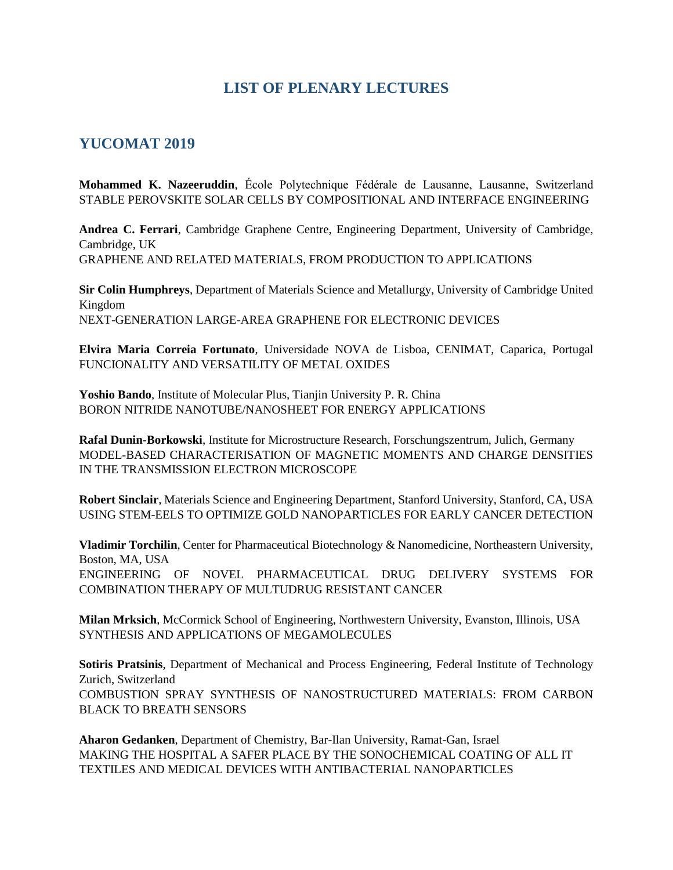#### **LIST OF PLENARY LECTURES**

#### **YUCOMAT 2019**

**Mohammed K. Nazeeruddin**, École Polytechnique Fédérale de Lausanne, Lausanne, Switzerland STABLE PEROVSKITE SOLAR CELLS BY COMPOSITIONAL AND INTERFACE ENGINEERING

**Andrea C. Ferrari**, Cambridge Graphene Centre, Engineering Department, University of Cambridge, Cambridge, UK GRAPHENE AND RELATED MATERIALS, FROM PRODUCTION TO APPLICATIONS

**Sir Colin Humphreys**, Department of Materials Science and Metallurgy, University of Cambridge United Kingdom NEXT-GENERATION LARGE-AREA GRAPHENE FOR ELECTRONIC DEVICES

**Elvira Maria Correia Fortunato**, Universidade NOVA de Lisboa, CENIMAT, Caparica, Portugal FUNCIONALITY AND VERSATILITY OF METAL OXIDES

**Yoshio Bando**, Institute of Molecular Plus, Tianjin University P. R. China BORON NITRIDE NANOTUBE/NANOSHEET FOR ENERGY APPLICATIONS

**Rafal Dunin-Borkowski**, Institute for Microstructure Research, Forschungszentrum, Julich, Germany MODEL-BASED CHARACTERISATION OF MAGNETIC MOMENTS AND CHARGE DENSITIES IN THE TRANSMISSION ELECTRON MICROSCOPE

**Robert Sinclair**, Materials Science and Engineering Department, Stanford University, Stanford, CA, USA USING STEM-EELS TO OPTIMIZE GOLD NANOPARTICLES FOR EARLY CANCER DETECTION

**Vladimir Torchilin**, Center for Pharmaceutical Biotechnology & Nanomedicine, Northeastern University, Boston, MA, USA ENGINEERING OF NOVEL PHARMACEUTICAL DRUG DELIVERY SYSTEMS FOR COMBINATION THERAPY OF MULTUDRUG RESISTANT CANCER

**Milan Mrksich**, McCormick School of Engineering, Northwestern University, Evanston, Illinois, USA SYNTHESIS AND APPLICATIONS OF MEGAMOLECULES

**Sotiris Pratsinis**, Department of Mechanical and Process Engineering, Federal Institute of Technology Zurich, Switzerland COMBUSTION SPRAY SYNTHESIS OF NANOSTRUCTURED MATERIALS: FROM CARBON BLACK TO BREATH SENSORS

**Aharon Gedanken**, Department of Chemistry, Bar-Ilan University, Ramat-Gan, Israel MAKING THE HOSPITAL A SAFER PLACE BY THE SONOCHEMICAL COATING OF ALL IT TEXTILES AND MEDICAL DEVICES WITH ANTIBACTERIAL NANOPARTICLES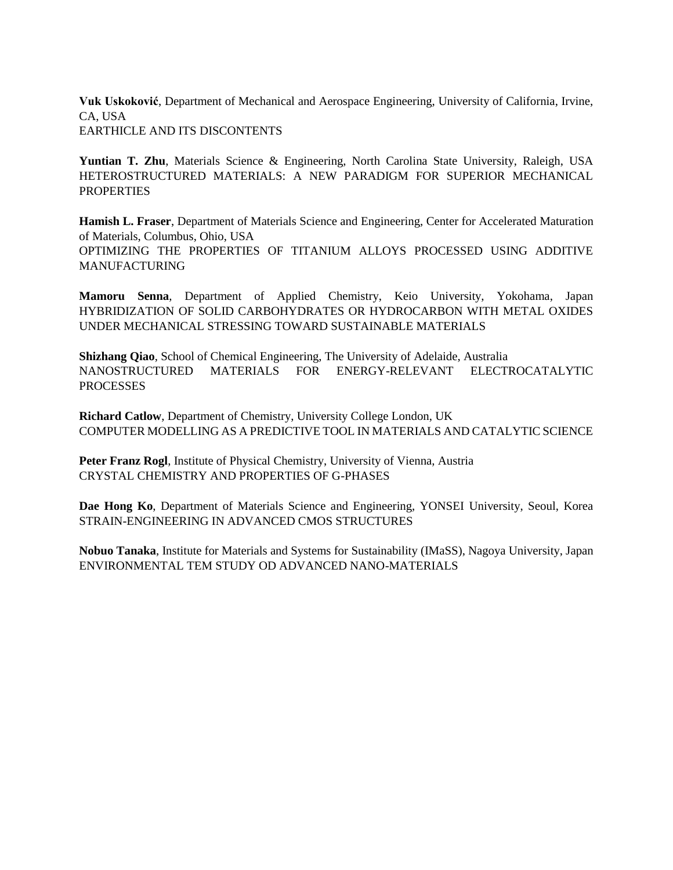**Vuk Uskoković**, Department of Mechanical and Aerospace Engineering, University of California, Irvine, CA, USA EARTHICLE AND ITS DISCONTENTS

**Yuntian T. Zhu**, Materials Science & Engineering, North Carolina State University, Raleigh, USA HETEROSTRUCTURED MATERIALS: A NEW PARADIGM FOR SUPERIOR MECHANICAL **PROPERTIES** 

**Hamish L. Fraser**, Department of Materials Science and Engineering, Center for Accelerated Maturation of Materials, Columbus, Ohio, USA OPTIMIZING THE PROPERTIES OF TITANIUM ALLOYS PROCESSED USING ADDITIVE MANUFACTURING

**Mamoru Senna**, Department of Applied Chemistry, Keio University, Yokohama, Japan HYBRIDIZATION OF SOLID CARBOHYDRATES OR HYDROCARBON WITH METAL OXIDES UNDER MECHANICAL STRESSING TOWARD SUSTAINABLE MATERIALS

**Shizhang Qiao**, School of Chemical Engineering, The University of Adelaide, Australia NANOSTRUCTURED MATERIALS FOR ENERGY-RELEVANT ELECTROCATALYTIC **PROCESSES** 

**Richard Catlow**, Department of Chemistry, University College London, UK COMPUTER MODELLING AS A PREDICTIVE TOOL IN MATERIALS AND CATALYTIC SCIENCE

**Peter Franz Rogl**, Institute of Physical Chemistry, University of Vienna, Austria CRYSTAL CHEMISTRY AND PROPERTIES OF G-PHASES

**Dae Hong Ko**, Department of Materials Science and Engineering, YONSEI University, Seoul, Korea STRAIN-ENGINEERING IN ADVANCED CMOS STRUCTURES

**Nobuo Tanaka**, Institute for Materials and Systems for Sustainability (IMaSS), Nagoya University, Japan ENVIRONMENTAL TEM STUDY OD ADVANCED NANO-MATERIALS